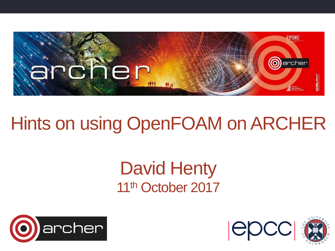

### Hints on using OpenFOAM on ARCHER

#### David Henty 11<sup>th</sup> October 2017





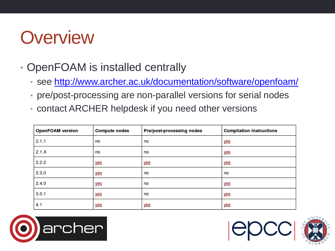#### **Overview**

- OpenFOAM is installed centrally
	- see<http://www.archer.ac.uk/documentation/software/openfoam/>
	- pre/post-processing are non-parallel versions for serial nodes
	- contact ARCHER helpdesk if you need other versions

| <b>OpenFOAM version</b> | <b>Compute nodes</b> | <b>Pre/post-processing nodes</b> | <b>Compilation instructions</b> |
|-------------------------|----------------------|----------------------------------|---------------------------------|
| 2.1.1                   | no                   | no                               | yes                             |
| 2.1.X                   | no                   | no                               | yes                             |
| 2.2.2                   | yes                  | yes                              | yes                             |
| 2.3.0                   | yes                  | no                               | no                              |
| 2.4.0                   | <u>yes</u>           | no                               | yes                             |
| 3.0.1                   | yes                  | no                               | <u>yes</u>                      |
| 4.1                     | yes                  | yes                              | yes                             |





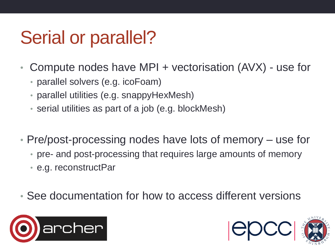### Serial or parallel?

- Compute nodes have MPI + vectorisation (AVX) use for
	- parallel solvers (e.g. icoFoam)
	- parallel utilities (e.g. snappyHexMesh)
	- serial utilities as part of a job (e.g. blockMesh)
- Pre/post-processing nodes have lots of memory use for
	- pre- and post-processing that requires large amounts of memory
	- e.g. reconstructPar
- See documentation for how to access different versions



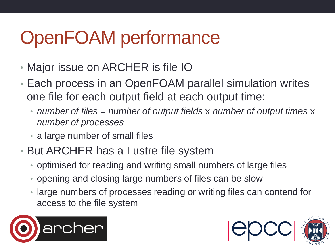## OpenFOAM performance

- Major issue on ARCHER is file IO
- Each process in an OpenFOAM parallel simulation writes one file for each output field at each output time:
	- *number of files* = *number of output fields* x *number of output times* x *number of processes*
	- a large number of small files
- But ARCHER has a Lustre file system
	- optimised for reading and writing small numbers of large files
	- opening and closing large numbers of files can be slow
	- large numbers of processes reading or writing files can contend for access to the file system



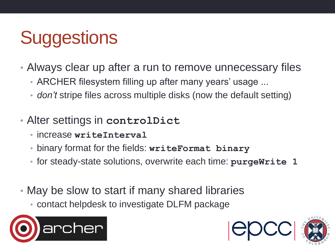# **Suggestions**

- Always clear up after a run to remove unnecessary files
	- ARCHER filesystem filling up after many years' usage ...
	- *don't* stripe files across multiple disks (now the default setting)
- Alter settings in **controlDict**
	- increase **writeInterval**
	- binary format for the fields: **writeFormat binary**
	- for steady-state solutions, overwrite each time: **purgeWrite 1**
- May be slow to start if many shared libraries
	- contact helpdesk to investigate DLFM package





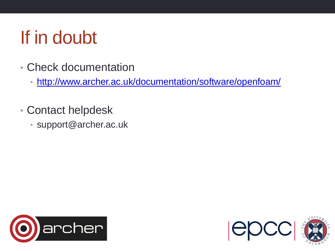### If in doubt

- Check documentation
	- <http://www.archer.ac.uk/documentation/software/openfoam/>
- Contact helpdesk
	- support@archer.ac.uk